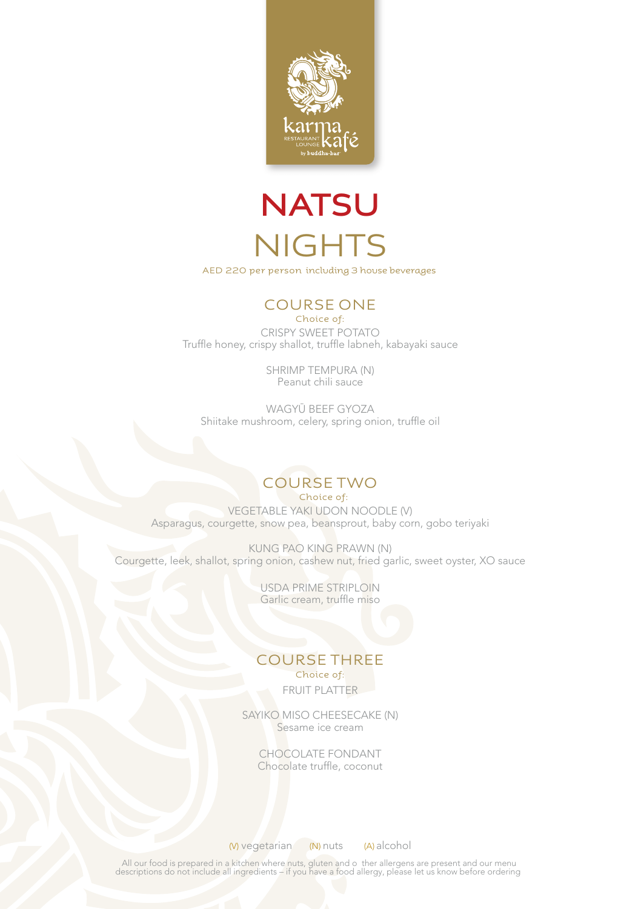

## **NATSU NIGHTS**

AED 220 per person including 3 house beverages

### COURSE ONE

Choice of: CRISPY SWEET POTATO Truffle honey, crispy shallot, truffle labneh, kabayaki sauce

> SHRIMP TEMPURA (N) Peanut chili sauce

WAGYŪ BEEF GYOZA Shiitake mushroom, celery, spring onion, truffle oil

### COURSE TWO

Choice of: VEGETABLE YAKI UDON NOODLE (V) Asparagus, courgette, snow pea, beansprout, baby corn, gobo teriyaki

KUNG PAO KING PRAWN (N) Courgette, leek, shallot, spring onion, cashew nut, fried garlic, sweet oyster, XO sauce

> USDA PRIME STRIPLOIN Garlic cream, truffle miso

#### Choice of: COURSE THREE

FRUIT PLATTER

SAYIKO MISO CHEESECAKE (N) Sesame ice cream

> CHOCOLATE FONDANT Chocolate truffle, coconut

(V) vegetarian (N) nuts (A) alcohol

All our food is prepared in a kitchen where nuts, gluten and o ther allergens are present and our menu descriptions do not include all ingredients – if you have a food allergy, please let us know before ordering